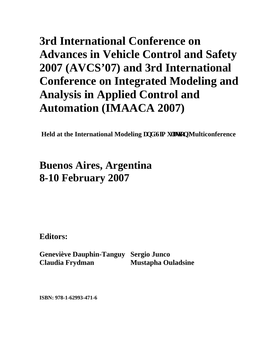## **3rd International Conference on Advances in Vehicle Control and Safety 2007 (AVCS'07) and 3rd International Conference on Integrated Modeling and Analysis in Applied Control and Automation (IMAACA 2007)**

**Held at the International Modeling cpf 'Uo we wap' Multiconference** 

## **Buenos Aires, Argentina 8-10 February 2007**

**Editors:** 

**Geneviève Dauphin-Tanguy Sergio Junco Claudia Frydman Mustapha Ouladsine** 

**ISBN: 978-1-62993-471-6**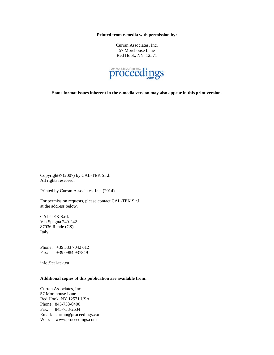**Printed from e-media with permission by:** 

Curran Associates, Inc. 57 Morehouse Lane Red Hook, NY 12571



**Some format issues inherent in the e-media version may also appear in this print version.** 

Copyright© (2007) by CAL-TEK S.r.l. All rights reserved.

Printed by Curran Associates, Inc. (2014)

For permission requests, please contact CAL-TEK S.r.l. at the address below.

CAL-TEK S.r.l. Via Spagna 240-242 87036 Rende (CS) Italy

Phone: +39 333 7042 612 Fax: +39 0984 937849

info@cal-tek.eu

## **Additional copies of this publication are available from:**

Curran Associates, Inc. 57 Morehouse Lane Red Hook, NY 12571 USA Phone: 845-758-0400 Fax: 845-758-2634 Email: curran@proceedings.com Web: www.proceedings.com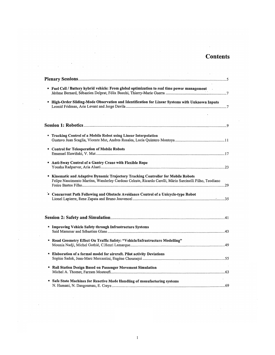## **Contents**

 $\sim$   $\sim$ 

 $\frac{1}{2}$ 

 $\sim 10^7$ 

| " Fuel Cell / Battery hybrid vehicle: From global optimization to real time power management<br><b>Tracking Control of a Mobile Robot using Linear Interpolation</b>                         |  |
|----------------------------------------------------------------------------------------------------------------------------------------------------------------------------------------------|--|
| " High-Order Sliding-Mode Observation and Identification for Linear Systems with Unknown Inputs                                                                                              |  |
|                                                                                                                                                                                              |  |
|                                                                                                                                                                                              |  |
| R                                                                                                                                                                                            |  |
|                                                                                                                                                                                              |  |
| " Control for Teleoperation of Mobile Robots                                                                                                                                                 |  |
| * Anti-Sway Control of a Gantry Crane with Flexible Rope                                                                                                                                     |  |
| " Kinematic and Adaptive Dynamic Trajectory Tracking Controller for Mobile Robots<br>Felipe Nascimento Martins, Wanderley Cardoso Celeste, Ricardo Carelli, Mário Sarcinelli Filho, Teodiano |  |
| Denote That Path Following and Obstacle Avoidance Control of a Unicycle-type Robot                                                                                                           |  |
|                                                                                                                                                                                              |  |
| " Improving Vehicle Safety through Infrastructure Systems                                                                                                                                    |  |
| " Road Geometry Effect On Traffic Safety: "Vehicle/Infrastructure Modelling"                                                                                                                 |  |
| <b>Elaboration of a formal model for aircraft. Pilot activity Deviations</b>                                                                                                                 |  |
| Rail Station Design Based on Passenger Movement Simulation<br>۰                                                                                                                              |  |
| " Safe State Machines for Reactive Mode Handling of manufacturing systems                                                                                                                    |  |

 $\sim$ 

 $\label{eq:2} \frac{1}{\sqrt{2}}\left(\frac{1}{\sqrt{2}}\right)^{2} \left(\frac{1}{\sqrt{2}}\right)^{2} \left(\frac{1}{\sqrt{2}}\right)^{2} \left(\frac{1}{\sqrt{2}}\right)^{2} \left(\frac{1}{\sqrt{2}}\right)^{2} \left(\frac{1}{\sqrt{2}}\right)^{2} \left(\frac{1}{\sqrt{2}}\right)^{2} \left(\frac{1}{\sqrt{2}}\right)^{2} \left(\frac{1}{\sqrt{2}}\right)^{2} \left(\frac{1}{\sqrt{2}}\right)^{2} \left(\frac{1}{\sqrt{2}}\right)^{2} \left(\frac{$ 

 $\bar{z}$ 

 $\mathcal{A}^{\mathcal{A}}$ 

 $\sim$ 

 $\sim$ 

 $\sim 0.01$ 

 $\sim$ 

 $\hat{\mathcal{A}}$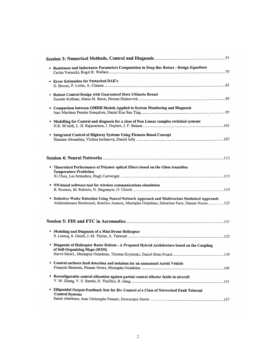| " Resistance and Inductance Parameters Computation in Deep Bar Rotors - Design Equations                                      |
|-------------------------------------------------------------------------------------------------------------------------------|
|                                                                                                                               |
| <b>Error Estimation for Perturbed DAE's</b>                                                                                   |
|                                                                                                                               |
| <b>Example 1 Robust Control Design with Guaranteed State Ultimate Bound</b>                                                   |
|                                                                                                                               |
| " Comparison between GMDH Models Applied to System Monitoring and Diagnosis                                                   |
|                                                                                                                               |
| " Modelling for Control and diagnosis for a class of Non Linear complex switched systems                                      |
|                                                                                                                               |
|                                                                                                                               |
| * Integrated Control of Highway Systems Using Flatness-Based Concept                                                          |
|                                                                                                                               |
|                                                                                                                               |
| " Theoretical Performance of Polymer optical Fibers based on the Glass transition                                             |
| <b>Temperature Prediction</b>                                                                                                 |
|                                                                                                                               |
| <sup>¤</sup> NN-based software tool for wireless communications simulation                                                    |
|                                                                                                                               |
| " Defective Wafer Detection Using Neural Network Approach and Multivariate Statistical Approach                               |
| Abderrahmane Boubezoul, Bouchra Ananou, Mustapha Ouladsine, Sebastien Paris, Hassan Noura125                                  |
|                                                                                                                               |
|                                                                                                                               |
| " Modeling and Diagnosis of a Mini Drone Helicopter                                                                           |
|                                                                                                                               |
| Diagnosis of Helicopter Rotor Defects - A Proposed Hybrid Architecture based on the Coupling<br>of Self-Organizing Maps (SOM) |
|                                                                                                                               |
|                                                                                                                               |
| <sup>8</sup> Control surfaces fault detection and isolation for an unmanned Aerial Vehicle                                    |
| " Reconfigurable control allocation against partial control effector faults in aircraft                                       |
|                                                                                                                               |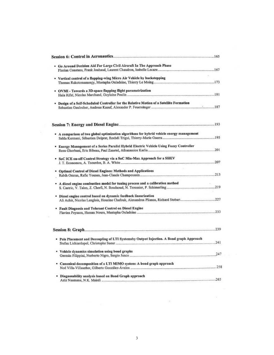| " Go Around Decision Aid For Large Civil Aircraft In The Approach Phase                  |  |
|------------------------------------------------------------------------------------------|--|
| " Vertical control of a flapping-wing Micro Air Vehicle by backstepping                  |  |
|                                                                                          |  |
| • OVMI - Towards a 3D-space flapping flight parametrization                              |  |
| " Design of a Self-Scheduled Controller for the Relative Motion of a Satellite Formation |  |
|                                                                                          |  |
|                                                                                          |  |
| A comparison of two global optimization algorithms for hybrid vehicle energy management  |  |
|                                                                                          |  |
| " Energy Management of a Series Parallel Hybrid Electric Vehicle Using Fuzzy Controller  |  |
|                                                                                          |  |
| * SoC ICE on-off Control Strategy via a SoC Min-Max Approach for a SHEV                  |  |
| * Optimal Control of Diesel Engines: Methods and Applications                            |  |
|                                                                                          |  |
| A diesel engine combustion model for tuning process and a calibration method             |  |
| · Diesel engine control based on dynamic feedback linearization                          |  |
| * Fault Diagnosis and Tolerant Control on Diesel Engine                                  |  |
|                                                                                          |  |
|                                                                                          |  |
| * Pole Placement and Decoupling of LTI Systemsby Output Injection. A Bond graph Approach |  |
| * Vehicle dynamics simulation using bond graphs                                          |  |
| • Canonical decomposition of a LTI MIMO system: A bond graph approach                    |  |
| • Diagnosability analysis based on Bond Graph approach                                   |  |
|                                                                                          |  |

 $\pm$